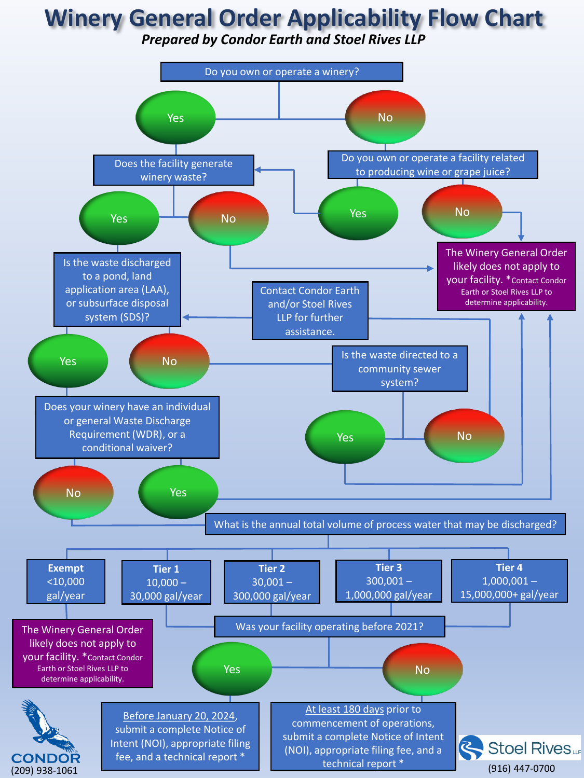## **Winery General Order Applicability Flow Chart**

*Prepared by Condor Earth and Stoel Rives LLP*